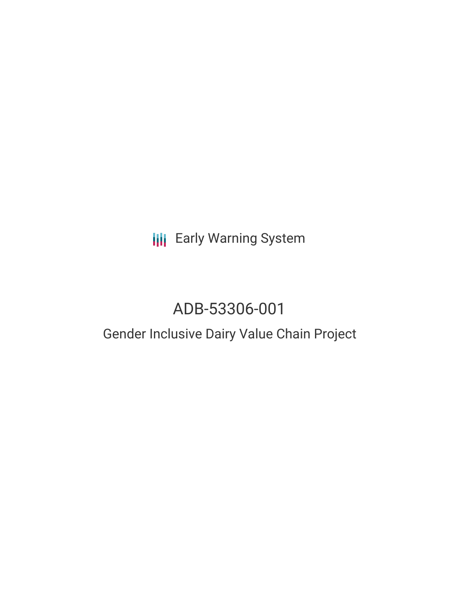# **III** Early Warning System

# ADB-53306-001

### Gender Inclusive Dairy Value Chain Project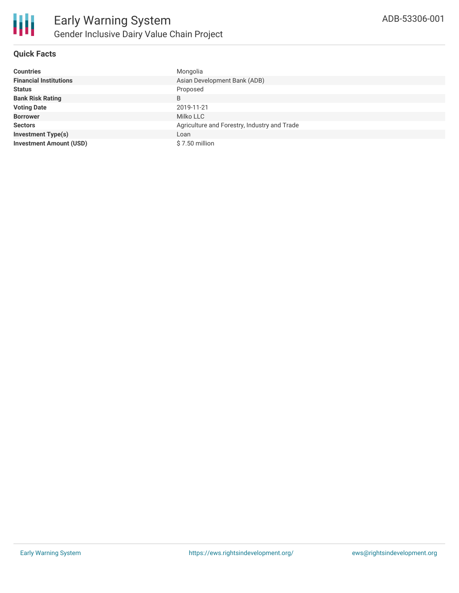

#### **Quick Facts**

| <b>Countries</b>               | Mongolia                                     |  |  |  |
|--------------------------------|----------------------------------------------|--|--|--|
| <b>Financial Institutions</b>  | Asian Development Bank (ADB)                 |  |  |  |
| <b>Status</b>                  | Proposed                                     |  |  |  |
| <b>Bank Risk Rating</b>        | B                                            |  |  |  |
| <b>Voting Date</b>             | 2019-11-21                                   |  |  |  |
| <b>Borrower</b>                | Milko LLC                                    |  |  |  |
| <b>Sectors</b>                 | Agriculture and Forestry, Industry and Trade |  |  |  |
| <b>Investment Type(s)</b>      | Loan                                         |  |  |  |
| <b>Investment Amount (USD)</b> | $$7.50$ million                              |  |  |  |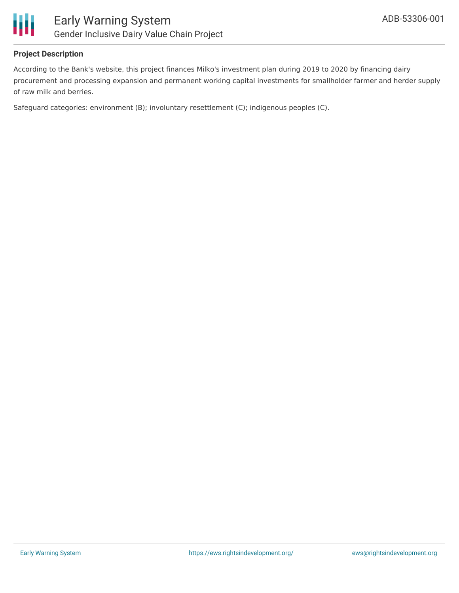

#### **Project Description**

According to the Bank's website, this project finances Milko's investment plan during 2019 to 2020 by financing dairy procurement and processing expansion and permanent working capital investments for smallholder farmer and herder supply of raw milk and berries.

Safeguard categories: environment (B); involuntary resettlement (C); indigenous peoples (C).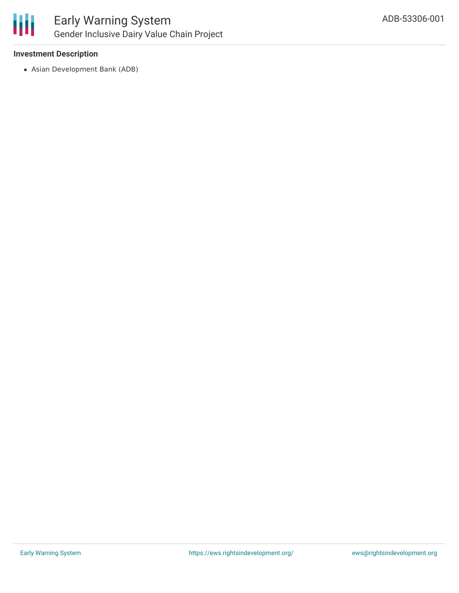

#### **Investment Description**

Asian Development Bank (ADB)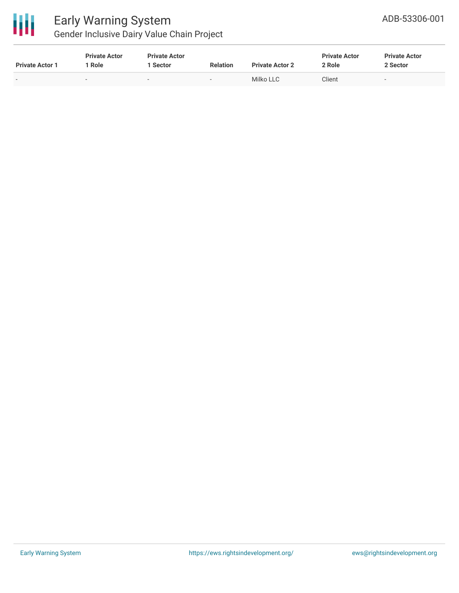

# Early Warning System

Gender Inclusive Dairy Value Chain Project

| <b>Private Actor 1</b> | <b>Private Actor</b><br>Role | <b>Private Actor</b><br>Sector | <b>Relation</b> | <b>Private Actor 2</b> | <b>Private Actor</b><br>2 Role | <b>Private Actor</b><br>2 Sector |
|------------------------|------------------------------|--------------------------------|-----------------|------------------------|--------------------------------|----------------------------------|
| $\sim$                 | $\sim$                       |                                | $\sim$          | Milko LLC              | Client                         | . .                              |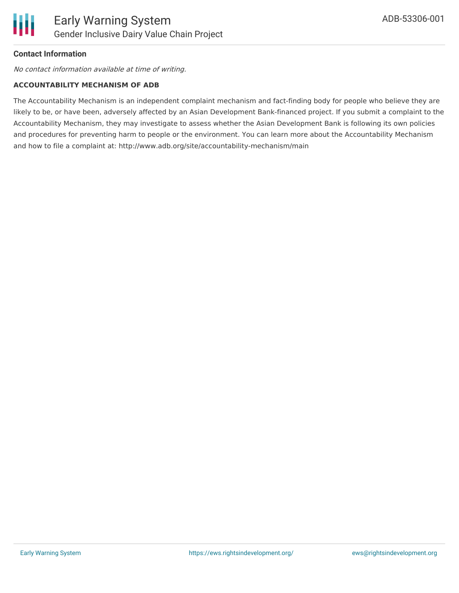

#### **Contact Information**

No contact information available at time of writing.

#### **ACCOUNTABILITY MECHANISM OF ADB**

The Accountability Mechanism is an independent complaint mechanism and fact-finding body for people who believe they are likely to be, or have been, adversely affected by an Asian Development Bank-financed project. If you submit a complaint to the Accountability Mechanism, they may investigate to assess whether the Asian Development Bank is following its own policies and procedures for preventing harm to people or the environment. You can learn more about the Accountability Mechanism and how to file a complaint at: http://www.adb.org/site/accountability-mechanism/main